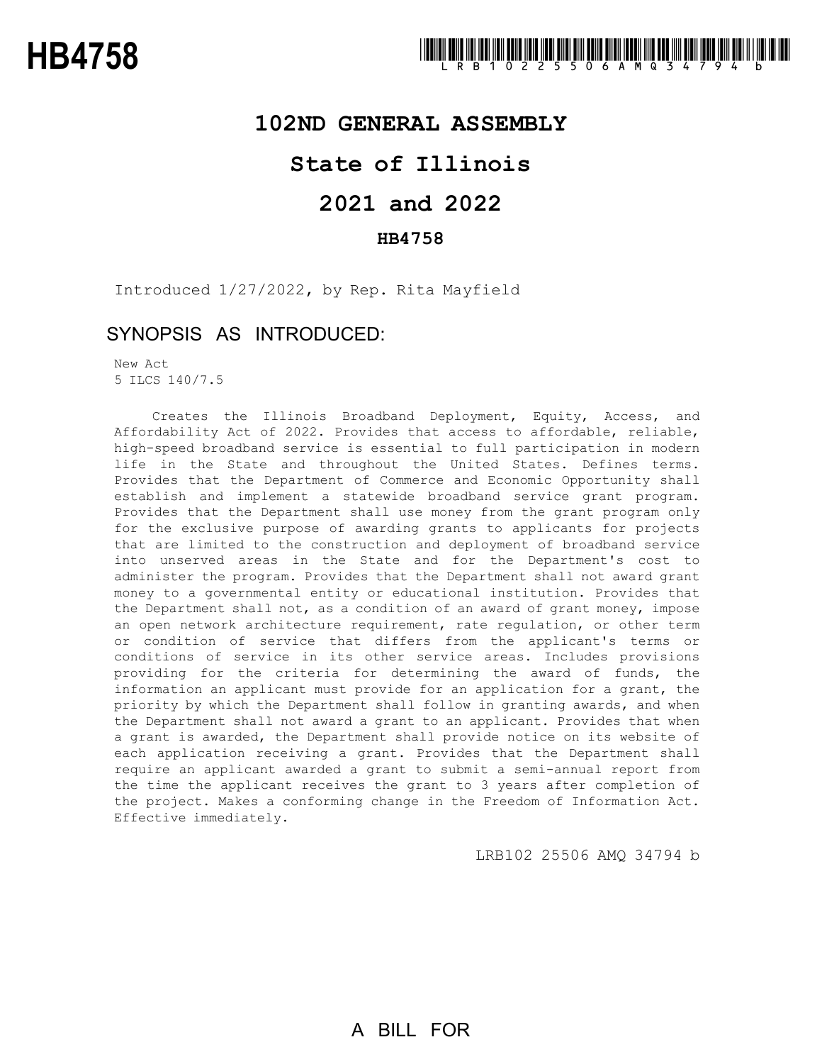## **102ND GENERAL ASSEMBLY**

## **State of Illinois**

# **2021 and 2022**

## **HB4758**

Introduced 1/27/2022, by Rep. Rita Mayfield

## SYNOPSIS AS INTRODUCED:

New Act 5 ILCS 140/7.5

Creates the Illinois Broadband Deployment, Equity, Access, and Affordability Act of 2022. Provides that access to affordable, reliable, high-speed broadband service is essential to full participation in modern life in the State and throughout the United States. Defines terms. Provides that the Department of Commerce and Economic Opportunity shall establish and implement a statewide broadband service grant program. Provides that the Department shall use money from the grant program only for the exclusive purpose of awarding grants to applicants for projects that are limited to the construction and deployment of broadband service into unserved areas in the State and for the Department's cost to administer the program. Provides that the Department shall not award grant money to a governmental entity or educational institution. Provides that the Department shall not, as a condition of an award of grant money, impose an open network architecture requirement, rate regulation, or other term or condition of service that differs from the applicant's terms or conditions of service in its other service areas. Includes provisions providing for the criteria for determining the award of funds, the information an applicant must provide for an application for a grant, the priority by which the Department shall follow in granting awards, and when the Department shall not award a grant to an applicant. Provides that when a grant is awarded, the Department shall provide notice on its website of each application receiving a grant. Provides that the Department shall require an applicant awarded a grant to submit a semi-annual report from the time the applicant receives the grant to 3 years after completion of the project. Makes a conforming change in the Freedom of Information Act. Effective immediately.

LRB102 25506 AMQ 34794 b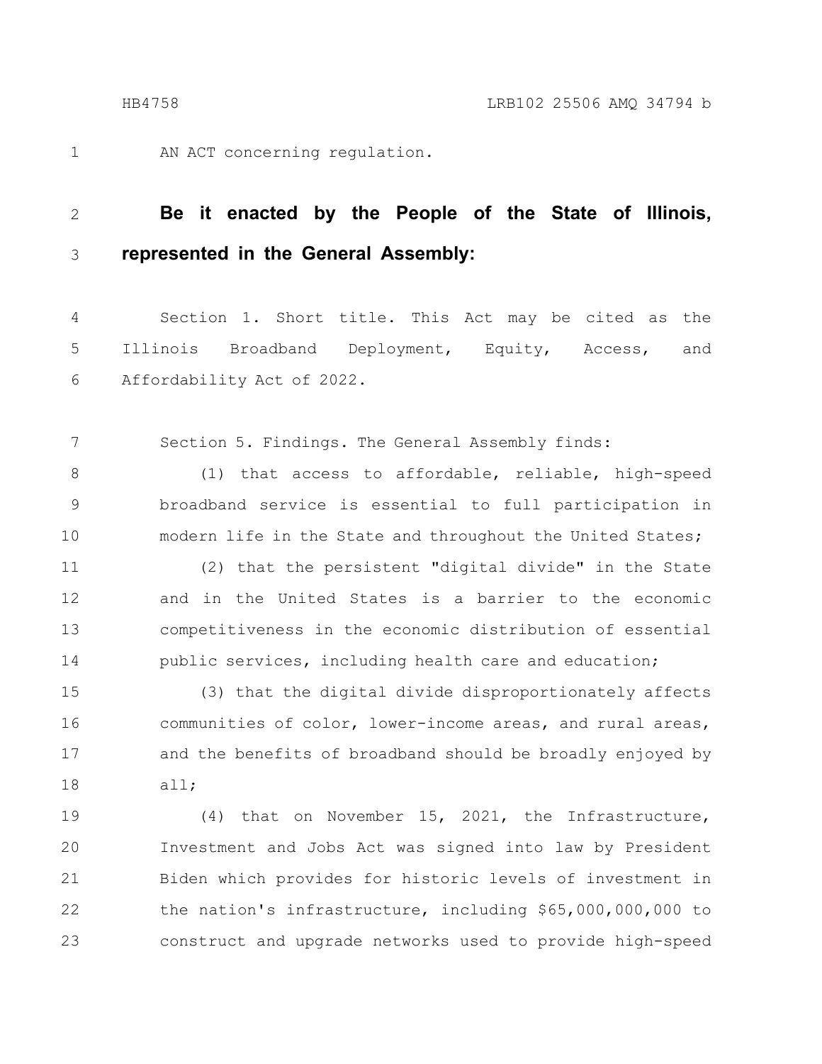1

AN ACT concerning regulation.

### **Be it enacted by the People of the State of Illinois, represented in the General Assembly:** 2 3

Section 1. Short title. This Act may be cited as the Illinois Broadband Deployment, Equity, Access, and Affordability Act of 2022. 4 5 6

Section 5. Findings. The General Assembly finds: 7

(1) that access to affordable, reliable, high-speed broadband service is essential to full participation in modern life in the State and throughout the United States; 8 9 10

(2) that the persistent "digital divide" in the State and in the United States is a barrier to the economic competitiveness in the economic distribution of essential public services, including health care and education; 11 12 13 14

(3) that the digital divide disproportionately affects communities of color, lower-income areas, and rural areas, and the benefits of broadband should be broadly enjoyed by all; 15 16 17 18

(4) that on November 15, 2021, the Infrastructure, Investment and Jobs Act was signed into law by President Biden which provides for historic levels of investment in the nation's infrastructure, including \$65,000,000,000 to construct and upgrade networks used to provide high-speed 19 20 21 22 23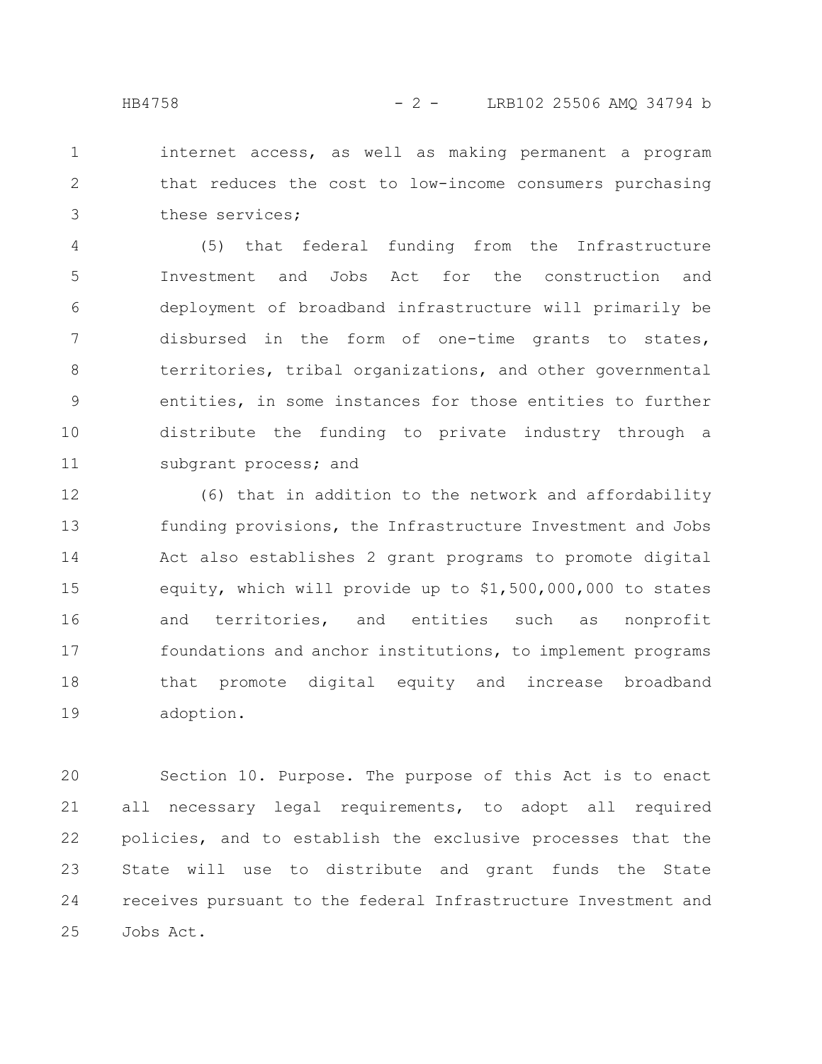internet access, as well as making permanent a program that reduces the cost to low-income consumers purchasing these services; 1 2 3

(5) that federal funding from the Infrastructure Investment and Jobs Act for the construction and deployment of broadband infrastructure will primarily be disbursed in the form of one-time grants to states, territories, tribal organizations, and other governmental entities, in some instances for those entities to further distribute the funding to private industry through a subgrant process; and 4 5 6 7 8 9 10 11

(6) that in addition to the network and affordability funding provisions, the Infrastructure Investment and Jobs Act also establishes 2 grant programs to promote digital equity, which will provide up to \$1,500,000,000 to states and territories, and entities such as nonprofit foundations and anchor institutions, to implement programs that promote digital equity and increase broadband adoption. 12 13 14 15 16 17 18 19

Section 10. Purpose. The purpose of this Act is to enact all necessary legal requirements, to adopt all required policies, and to establish the exclusive processes that the State will use to distribute and grant funds the State receives pursuant to the federal Infrastructure Investment and Jobs Act. 20 21 22 23 24 25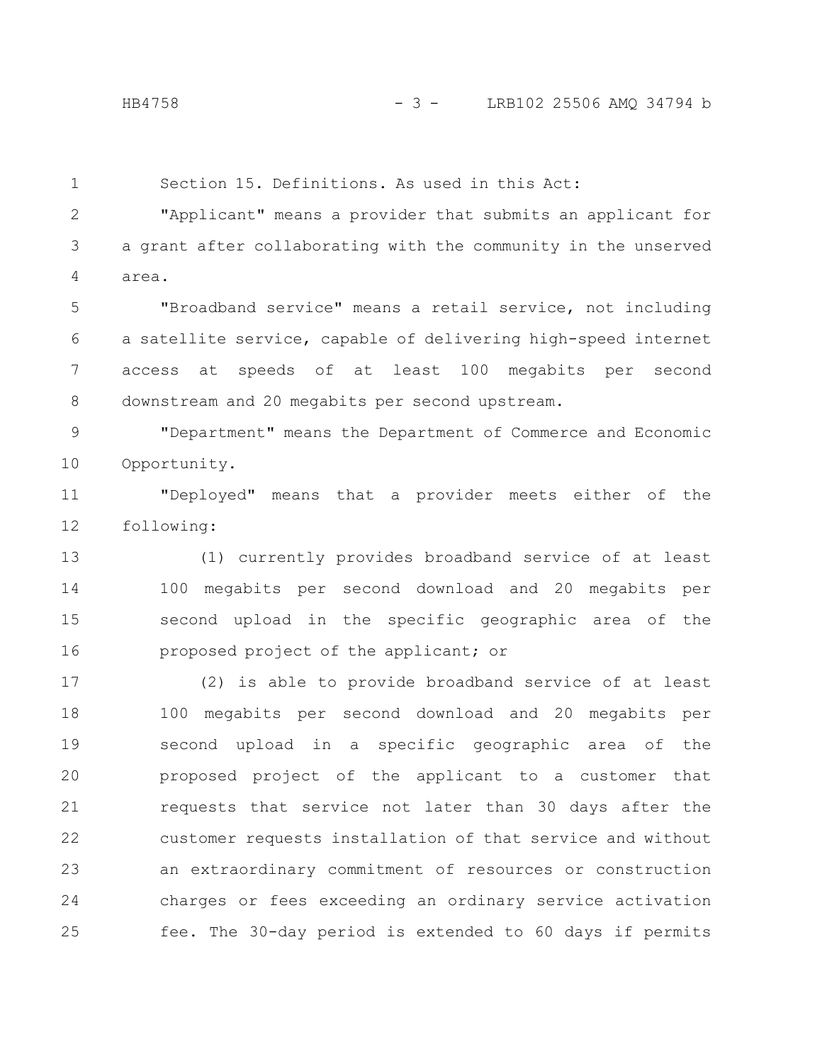1

Section 15. Definitions. As used in this Act:

"Applicant" means a provider that submits an applicant for a grant after collaborating with the community in the unserved area. 2 3 4

"Broadband service" means a retail service, not including a satellite service, capable of delivering high-speed internet access at speeds of at least 100 megabits per second downstream and 20 megabits per second upstream. 5 6 7 8

"Department" means the Department of Commerce and Economic Opportunity. 9 10

"Deployed" means that a provider meets either of the following: 11 12

(1) currently provides broadband service of at least 100 megabits per second download and 20 megabits per second upload in the specific geographic area of the proposed project of the applicant; or 13 14 15 16

(2) is able to provide broadband service of at least 100 megabits per second download and 20 megabits per second upload in a specific geographic area of the proposed project of the applicant to a customer that requests that service not later than 30 days after the customer requests installation of that service and without an extraordinary commitment of resources or construction charges or fees exceeding an ordinary service activation fee. The 30-day period is extended to 60 days if permits 17 18 19 20 21 22 23 24 25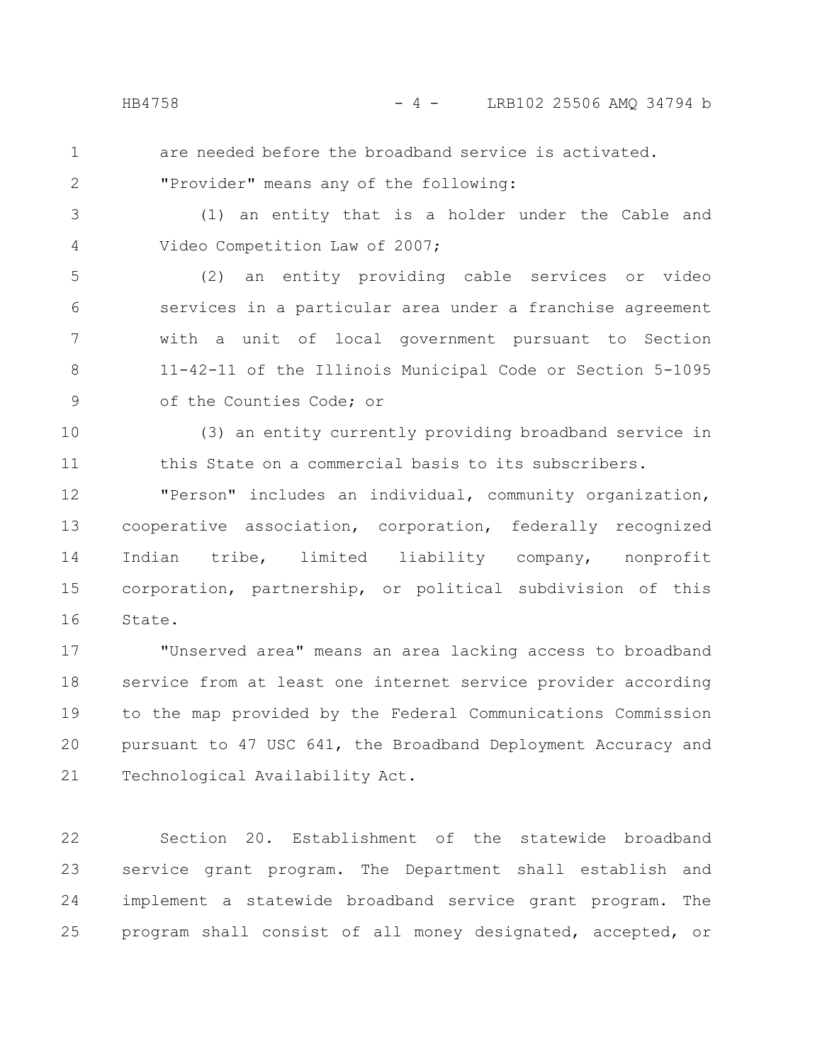1 2 are needed before the broadband service is activated.

"Provider" means any of the following:

3 4

(1) an entity that is a holder under the Cable and Video Competition Law of 2007;

(2) an entity providing cable services or video services in a particular area under a franchise agreement with a unit of local government pursuant to Section 11-42-11 of the Illinois Municipal Code or Section 5-1095 of the Counties Code; or 5 6 7 8 9

(3) an entity currently providing broadband service in this State on a commercial basis to its subscribers. 10 11

"Person" includes an individual, community organization, cooperative association, corporation, federally recognized Indian tribe, limited liability company, nonprofit corporation, partnership, or political subdivision of this State. 12 13 14 15 16

"Unserved area" means an area lacking access to broadband service from at least one internet service provider according to the map provided by the Federal Communications Commission pursuant to 47 USC 641, the Broadband Deployment Accuracy and Technological Availability Act. 17 18 19 20 21

Section 20. Establishment of the statewide broadband service grant program. The Department shall establish and implement a statewide broadband service grant program. The program shall consist of all money designated, accepted, or 22 23 24 25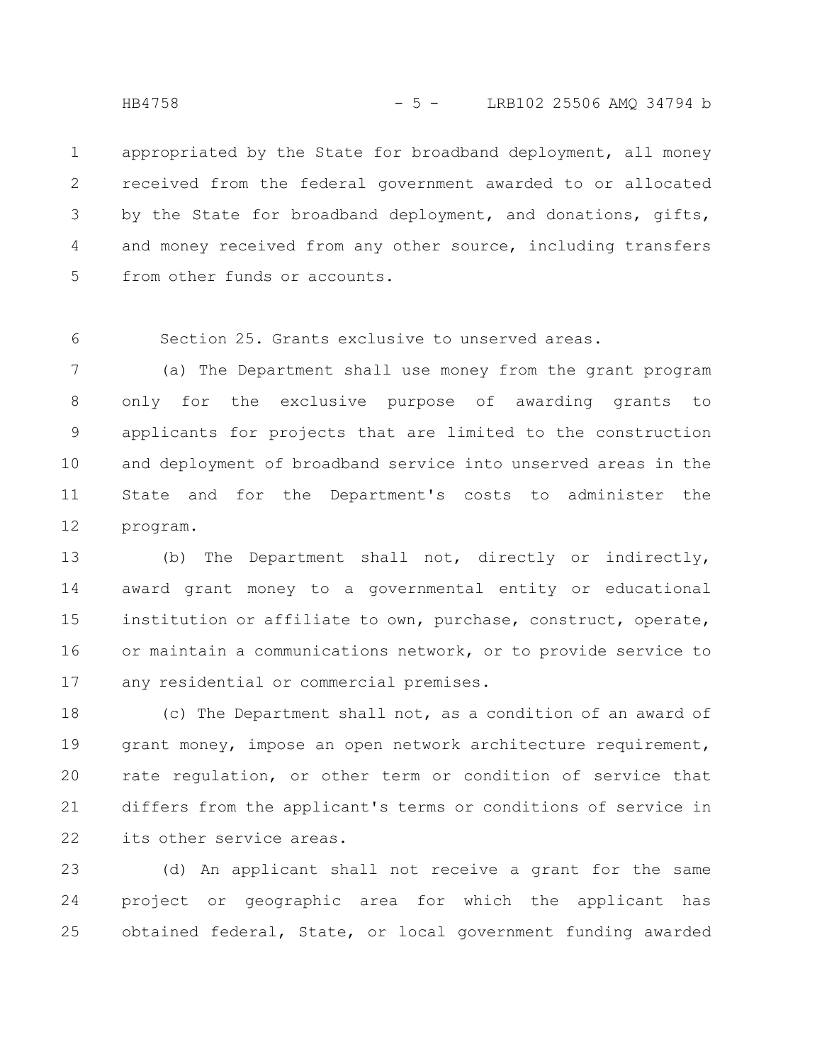appropriated by the State for broadband deployment, all money received from the federal government awarded to or allocated by the State for broadband deployment, and donations, gifts, and money received from any other source, including transfers from other funds or accounts. 1 2 3 4 5

Section 25. Grants exclusive to unserved areas. 6

(a) The Department shall use money from the grant program only for the exclusive purpose of awarding grants to applicants for projects that are limited to the construction and deployment of broadband service into unserved areas in the State and for the Department's costs to administer the program. 7 8 9 10 11 12

(b) The Department shall not, directly or indirectly, award grant money to a governmental entity or educational institution or affiliate to own, purchase, construct, operate, or maintain a communications network, or to provide service to any residential or commercial premises. 13 14 15 16 17

(c) The Department shall not, as a condition of an award of grant money, impose an open network architecture requirement, rate regulation, or other term or condition of service that differs from the applicant's terms or conditions of service in its other service areas. 18 19 20 21 22

(d) An applicant shall not receive a grant for the same project or geographic area for which the applicant has obtained federal, State, or local government funding awarded 23 24 25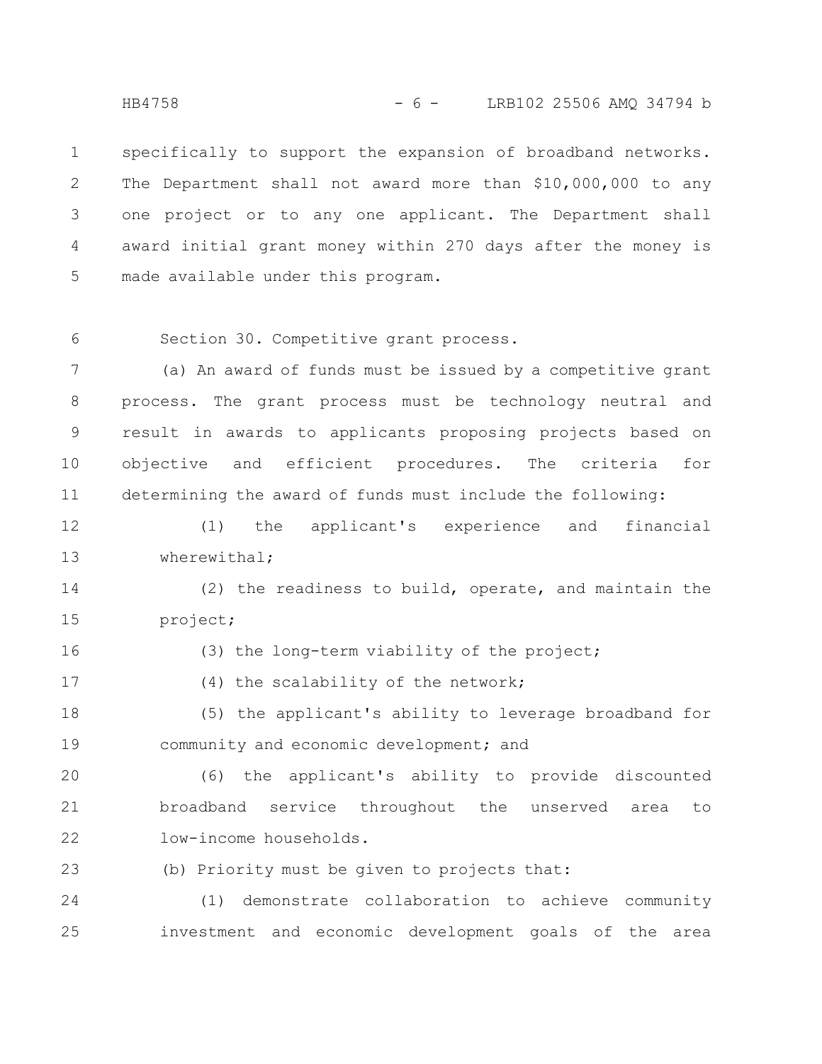specifically to support the expansion of broadband networks. The Department shall not award more than \$10,000,000 to any one project or to any one applicant. The Department shall award initial grant money within 270 days after the money is made available under this program. 1 2 3 4 5

6

Section 30. Competitive grant process.

(a) An award of funds must be issued by a competitive grant process. The grant process must be technology neutral and result in awards to applicants proposing projects based on objective and efficient procedures. The criteria for determining the award of funds must include the following: 7 8 9 10 11

(1) the applicant's experience and financial wherewithal; 12 13

(2) the readiness to build, operate, and maintain the project; 14 15

16

(3) the long-term viability of the project;

(4) the scalability of the network; 17

(5) the applicant's ability to leverage broadband for community and economic development; and 18 19

(6) the applicant's ability to provide discounted broadband service throughout the unserved area to low-income households. 20 21 22

(b) Priority must be given to projects that: 23

(1) demonstrate collaboration to achieve community investment and economic development goals of the area 24 25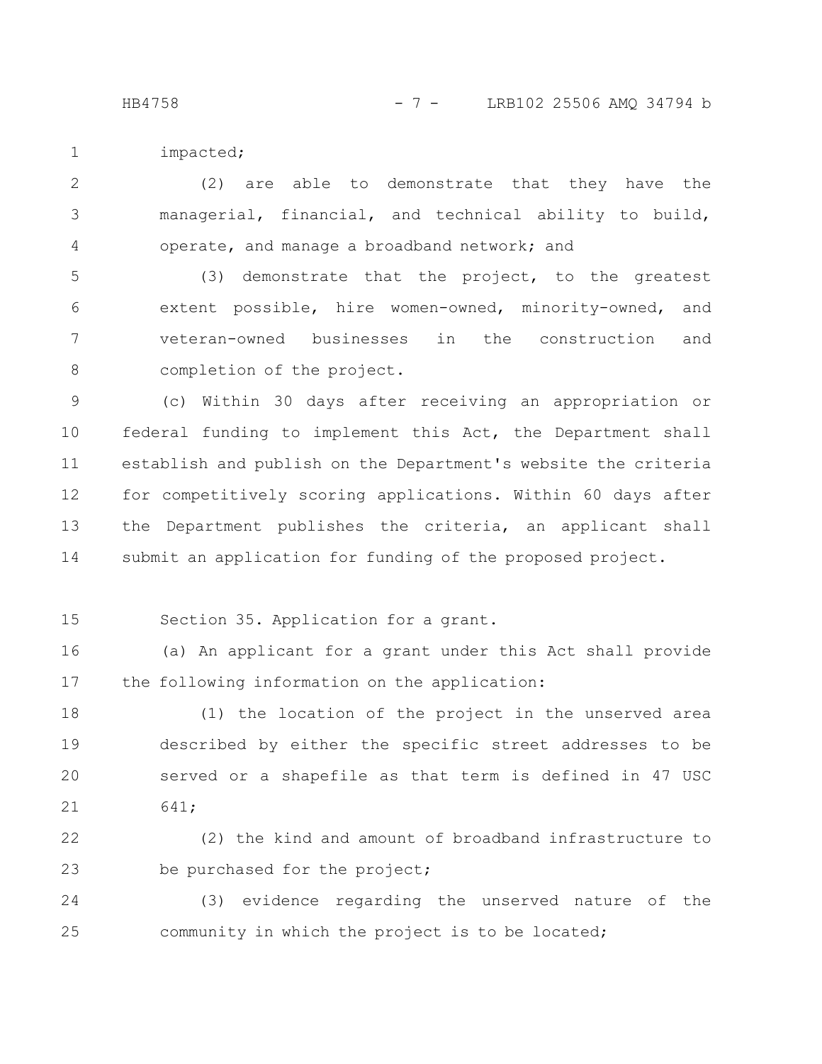HB4758 - 7 - LRB102 25506 AMO 34794 b

impacted; 1

(2) are able to demonstrate that they have the managerial, financial, and technical ability to build, operate, and manage a broadband network; and 2 3 4

(3) demonstrate that the project, to the greatest extent possible, hire women-owned, minority-owned, and veteran-owned businesses in the construction and completion of the project. 5 6 7 8

(c) Within 30 days after receiving an appropriation or federal funding to implement this Act, the Department shall establish and publish on the Department's website the criteria for competitively scoring applications. Within 60 days after the Department publishes the criteria, an applicant shall submit an application for funding of the proposed project. 9 10 11 12 13 14

15

Section 35. Application for a grant.

(a) An applicant for a grant under this Act shall provide the following information on the application: 16 17

(1) the location of the project in the unserved area described by either the specific street addresses to be served or a shapefile as that term is defined in 47 USC 641; 18 19 20 21

(2) the kind and amount of broadband infrastructure to be purchased for the project; 22 23

(3) evidence regarding the unserved nature of the community in which the project is to be located; 24 25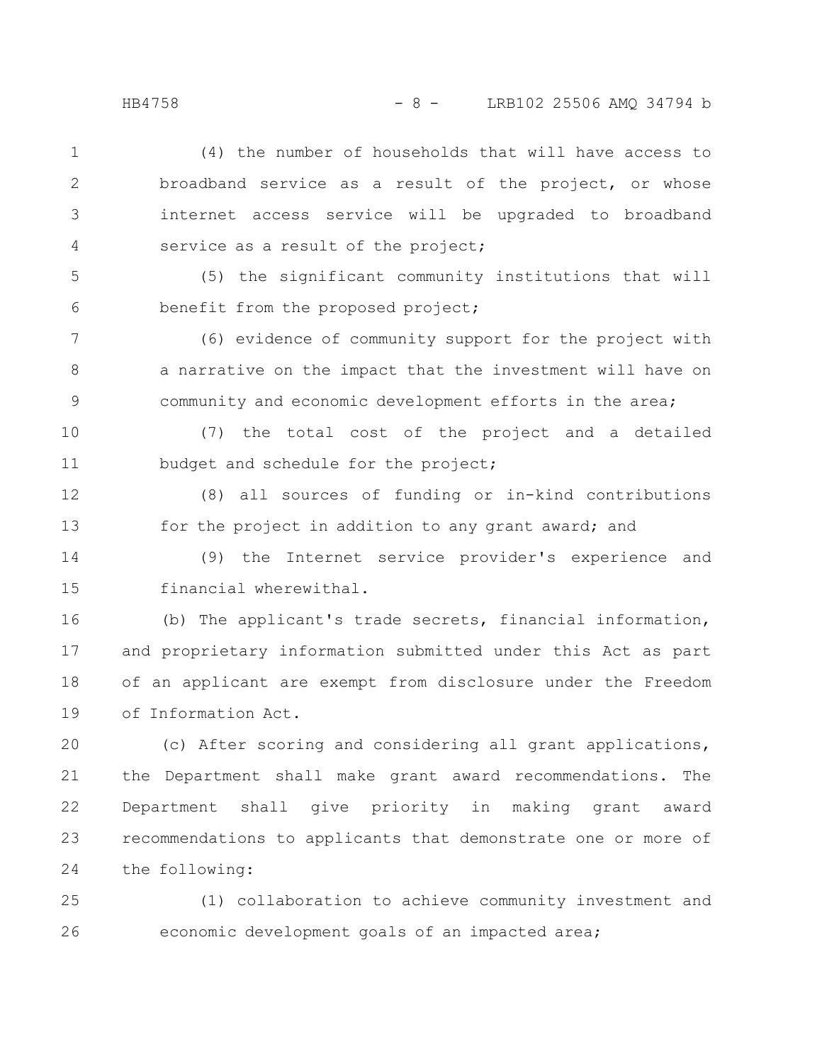(4) the number of households that will have access to broadband service as a result of the project, or whose internet access service will be upgraded to broadband service as a result of the project; 1 2 3 4

(5) the significant community institutions that will benefit from the proposed project; 5 6

(6) evidence of community support for the project with a narrative on the impact that the investment will have on community and economic development efforts in the area; 7 8 9

(7) the total cost of the project and a detailed budget and schedule for the project; 10 11

(8) all sources of funding or in-kind contributions for the project in addition to any grant award; and 12 13

(9) the Internet service provider's experience and financial wherewithal. 14 15

(b) The applicant's trade secrets, financial information, and proprietary information submitted under this Act as part of an applicant are exempt from disclosure under the Freedom of Information Act. 16 17 18 19

(c) After scoring and considering all grant applications, the Department shall make grant award recommendations. The Department shall give priority in making grant award recommendations to applicants that demonstrate one or more of the following: 20 21 22 23 24

(1) collaboration to achieve community investment and economic development goals of an impacted area; 25 26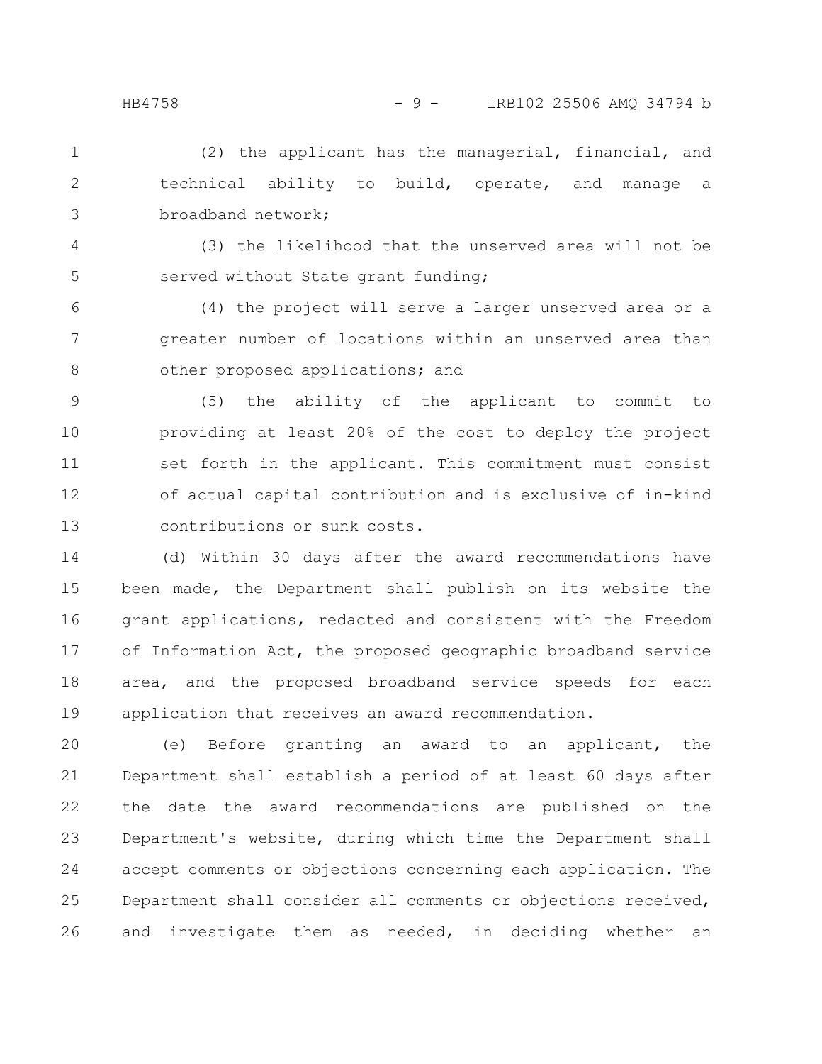(2) the applicant has the managerial, financial, and technical ability to build, operate, and manage a broadband network; 1 2 3

(3) the likelihood that the unserved area will not be served without State grant funding; 4 5

(4) the project will serve a larger unserved area or a greater number of locations within an unserved area than other proposed applications; and 6 7 8

(5) the ability of the applicant to commit to providing at least 20% of the cost to deploy the project set forth in the applicant. This commitment must consist of actual capital contribution and is exclusive of in-kind contributions or sunk costs. 9 10 11 12 13

(d) Within 30 days after the award recommendations have been made, the Department shall publish on its website the grant applications, redacted and consistent with the Freedom of Information Act, the proposed geographic broadband service area, and the proposed broadband service speeds for each application that receives an award recommendation. 14 15 16 17 18 19

(e) Before granting an award to an applicant, the Department shall establish a period of at least 60 days after the date the award recommendations are published on the Department's website, during which time the Department shall accept comments or objections concerning each application. The Department shall consider all comments or objections received, and investigate them as needed, in deciding whether an 20 21 22 23 24 25 26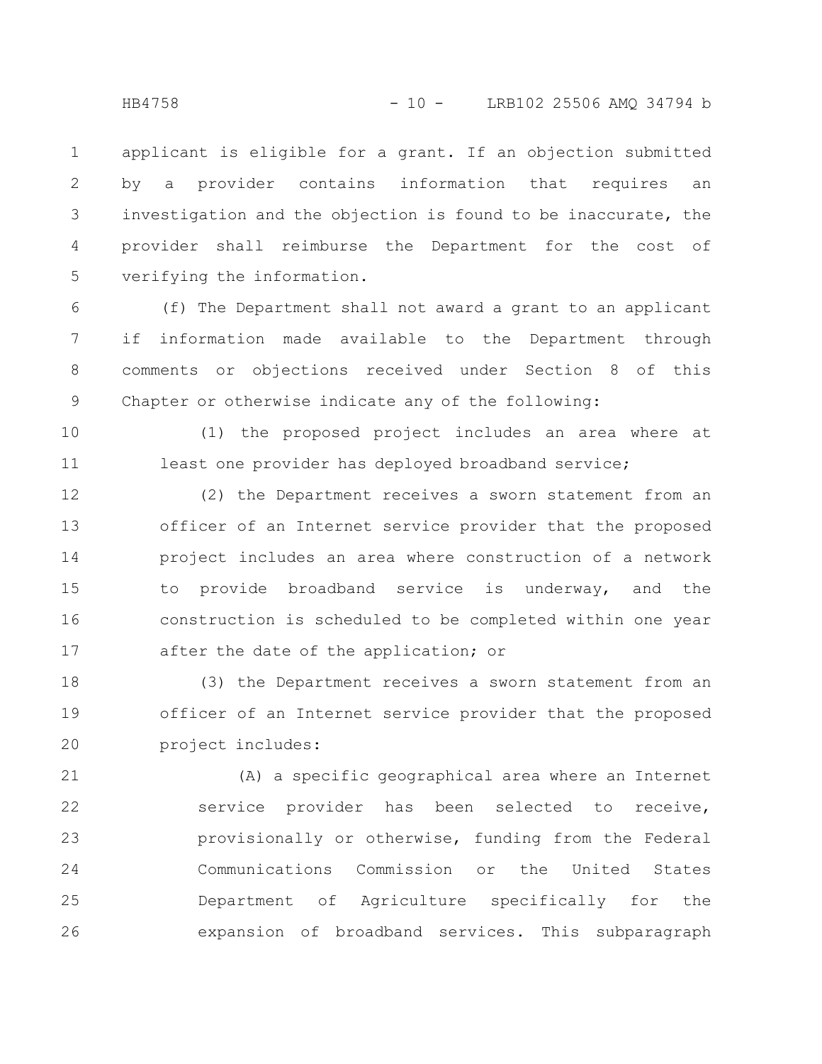applicant is eligible for a grant. If an objection submitted by a provider contains information that requires an investigation and the objection is found to be inaccurate, the provider shall reimburse the Department for the cost of verifying the information. 1 2 3 4 5

(f) The Department shall not award a grant to an applicant if information made available to the Department through comments or objections received under Section 8 of this Chapter or otherwise indicate any of the following: 6 7 8 9

(1) the proposed project includes an area where at least one provider has deployed broadband service; 10 11

(2) the Department receives a sworn statement from an officer of an Internet service provider that the proposed project includes an area where construction of a network to provide broadband service is underway, and the construction is scheduled to be completed within one year after the date of the application; or 12 13 14 15 16 17

(3) the Department receives a sworn statement from an officer of an Internet service provider that the proposed project includes: 18 19 20

(A) a specific geographical area where an Internet service provider has been selected to receive, provisionally or otherwise, funding from the Federal Communications Commission or the United States Department of Agriculture specifically for the expansion of broadband services. This subparagraph 21 22 23 24 25 26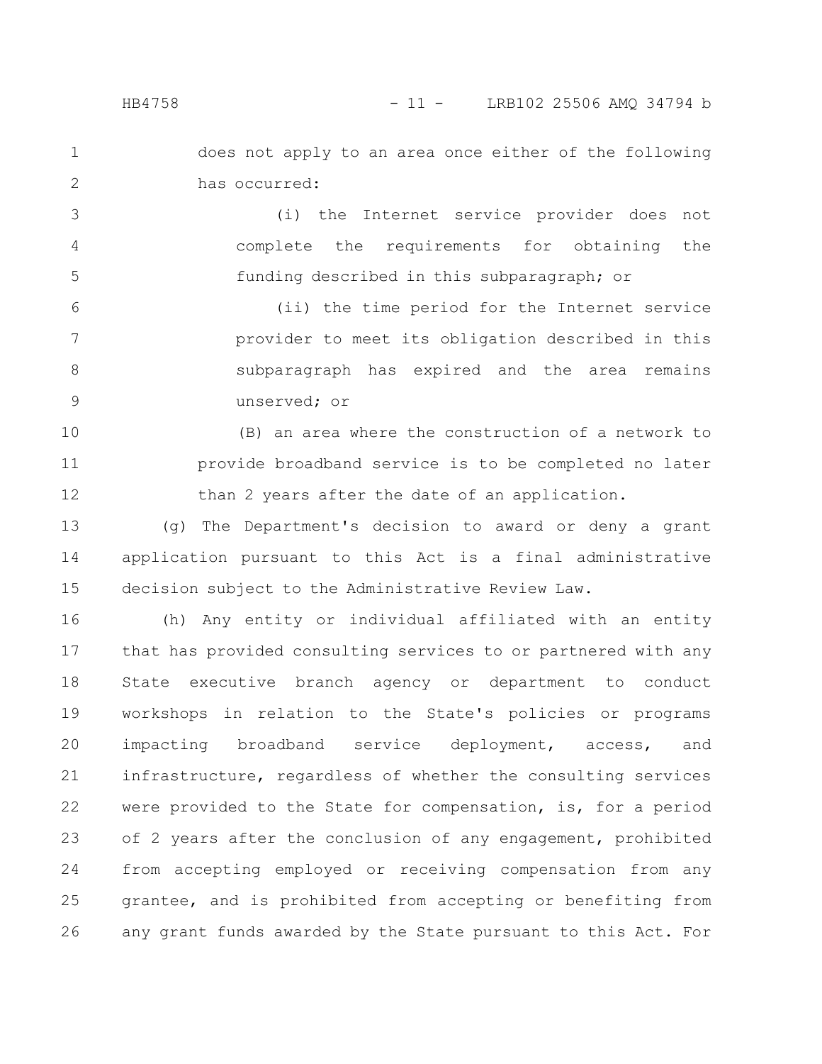1

2

does not apply to an area once either of the following has occurred:

(i) the Internet service provider does not complete the requirements for obtaining the funding described in this subparagraph; or 3 4 5

(ii) the time period for the Internet service provider to meet its obligation described in this subparagraph has expired and the area remains unserved; or 6 7 8 9

(B) an area where the construction of a network to provide broadband service is to be completed no later than 2 years after the date of an application. 10 11 12

(g) The Department's decision to award or deny a grant application pursuant to this Act is a final administrative decision subject to the Administrative Review Law. 13 14 15

(h) Any entity or individual affiliated with an entity that has provided consulting services to or partnered with any State executive branch agency or department to conduct workshops in relation to the State's policies or programs impacting broadband service deployment, access, and infrastructure, regardless of whether the consulting services were provided to the State for compensation, is, for a period of 2 years after the conclusion of any engagement, prohibited from accepting employed or receiving compensation from any grantee, and is prohibited from accepting or benefiting from any grant funds awarded by the State pursuant to this Act. For 16 17 18 19 20 21 22 23 24 25 26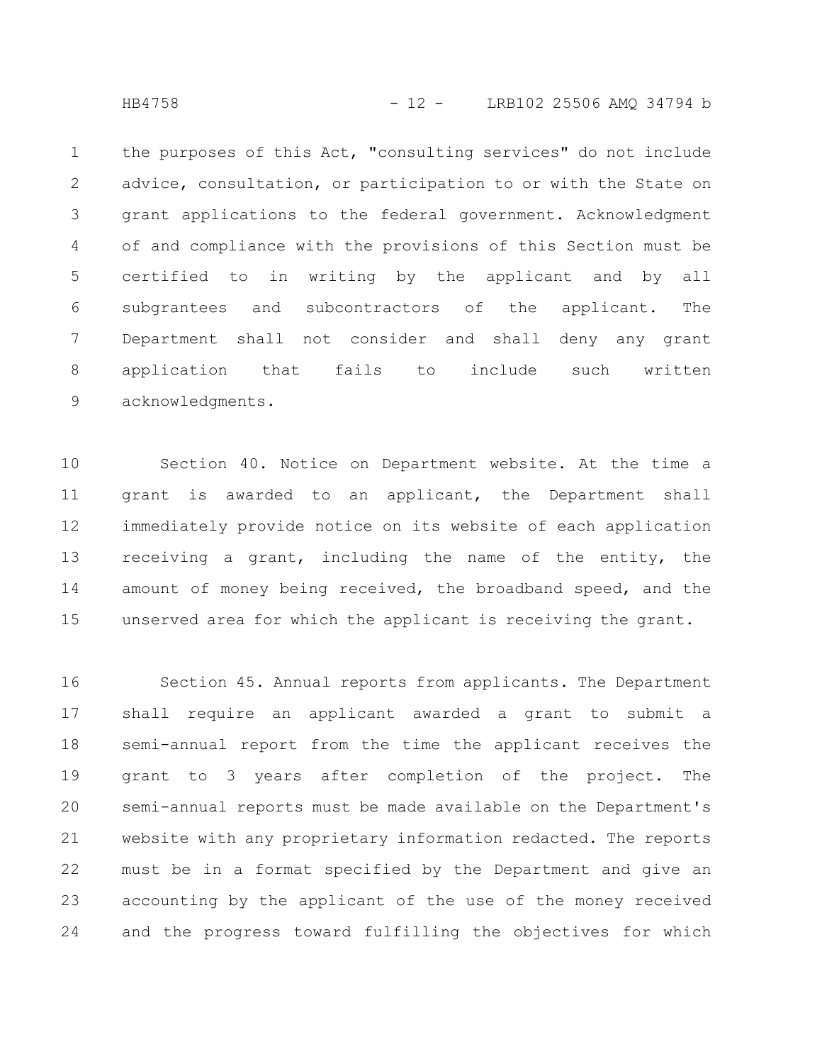the purposes of this Act, "consulting services" do not include advice, consultation, or participation to or with the State on grant applications to the federal government. Acknowledgment of and compliance with the provisions of this Section must be certified to in writing by the applicant and by all subgrantees and subcontractors of the applicant. The Department shall not consider and shall deny any grant application that fails to include such written acknowledgments. 1 2 3 4 5 6 7 8 9

Section 40. Notice on Department website. At the time a grant is awarded to an applicant, the Department shall immediately provide notice on its website of each application receiving a grant, including the name of the entity, the amount of money being received, the broadband speed, and the unserved area for which the applicant is receiving the grant. 10 11 12 13 14 15

Section 45. Annual reports from applicants. The Department shall require an applicant awarded a grant to submit a semi-annual report from the time the applicant receives the grant to 3 years after completion of the project. The semi-annual reports must be made available on the Department's website with any proprietary information redacted. The reports must be in a format specified by the Department and give an accounting by the applicant of the use of the money received and the progress toward fulfilling the objectives for which 16 17 18 19 20 21 22 23 24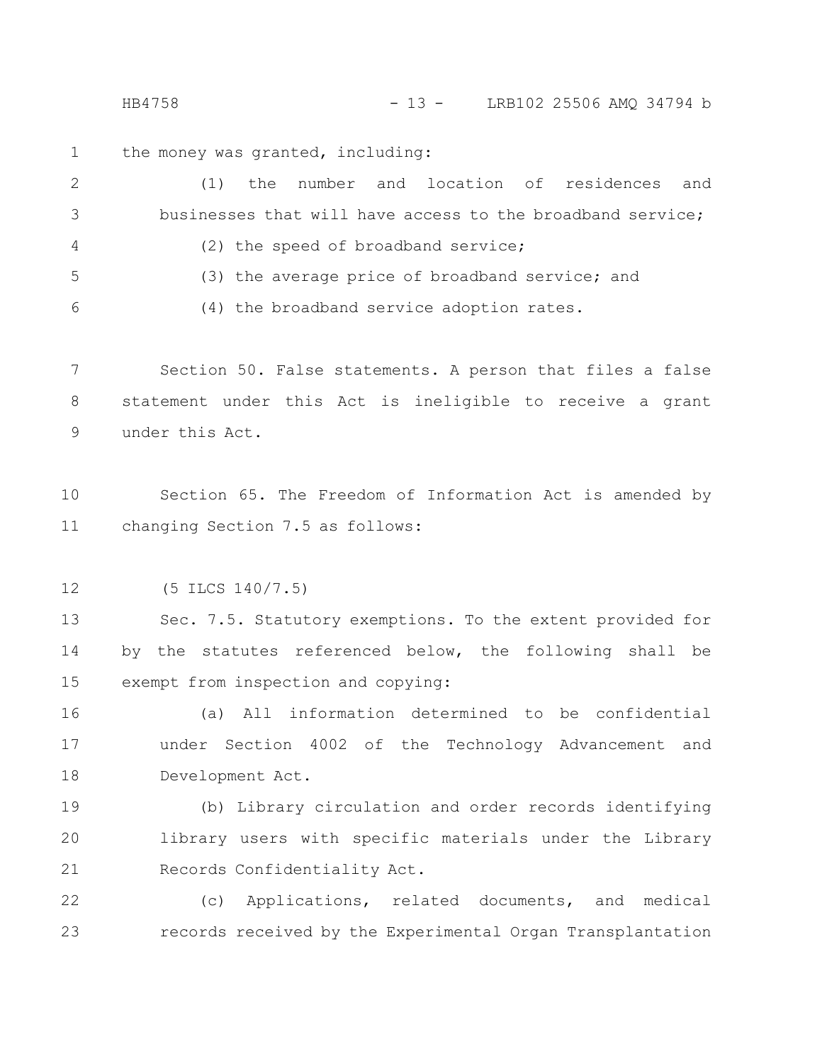HB4758 - 13 - LRB102 25506 AMQ 34794 b

the money was granted, including: 1

(1) the number and location of residences and businesses that will have access to the broadband service; (2) the speed of broadband service; (3) the average price of broadband service; and (4) the broadband service adoption rates. 2 3 4 5 6

Section 50. False statements. A person that files a false statement under this Act is ineligible to receive a grant under this Act. 7 8 9

Section 65. The Freedom of Information Act is amended by changing Section 7.5 as follows: 10 11

(5 ILCS 140/7.5) 12

Sec. 7.5. Statutory exemptions. To the extent provided for by the statutes referenced below, the following shall be exempt from inspection and copying: 13 14 15

(a) All information determined to be confidential under Section 4002 of the Technology Advancement and Development Act. 16 17 18

(b) Library circulation and order records identifying library users with specific materials under the Library Records Confidentiality Act. 19 20 21

(c) Applications, related documents, and medical records received by the Experimental Organ Transplantation 22 23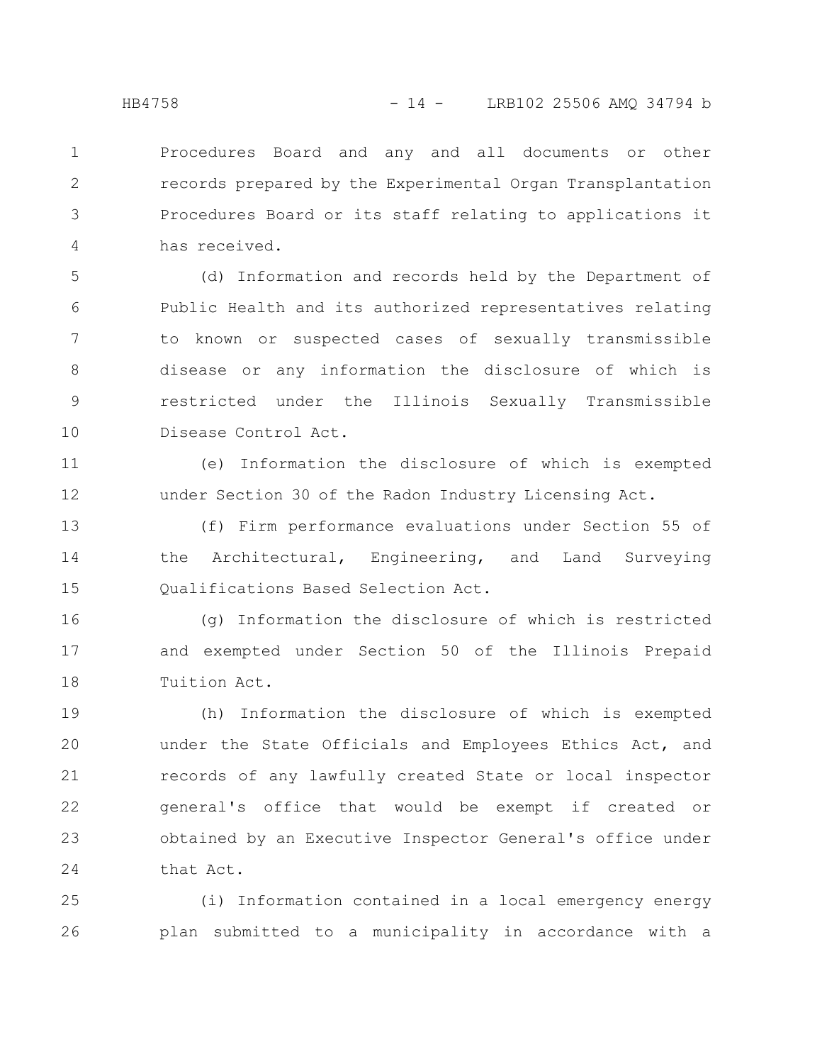Procedures Board and any and all documents or other records prepared by the Experimental Organ Transplantation Procedures Board or its staff relating to applications it has received. 1 2 3 4

(d) Information and records held by the Department of Public Health and its authorized representatives relating to known or suspected cases of sexually transmissible disease or any information the disclosure of which is restricted under the Illinois Sexually Transmissible Disease Control Act. 5 6 7 8 9 10

(e) Information the disclosure of which is exempted under Section 30 of the Radon Industry Licensing Act. 11 12

(f) Firm performance evaluations under Section 55 of the Architectural, Engineering, and Land Surveying Qualifications Based Selection Act. 13 14 15

(g) Information the disclosure of which is restricted and exempted under Section 50 of the Illinois Prepaid Tuition Act. 16 17 18

(h) Information the disclosure of which is exempted under the State Officials and Employees Ethics Act, and records of any lawfully created State or local inspector general's office that would be exempt if created or obtained by an Executive Inspector General's office under that Act. 19 20 21 22 23 24

(i) Information contained in a local emergency energy plan submitted to a municipality in accordance with a 25 26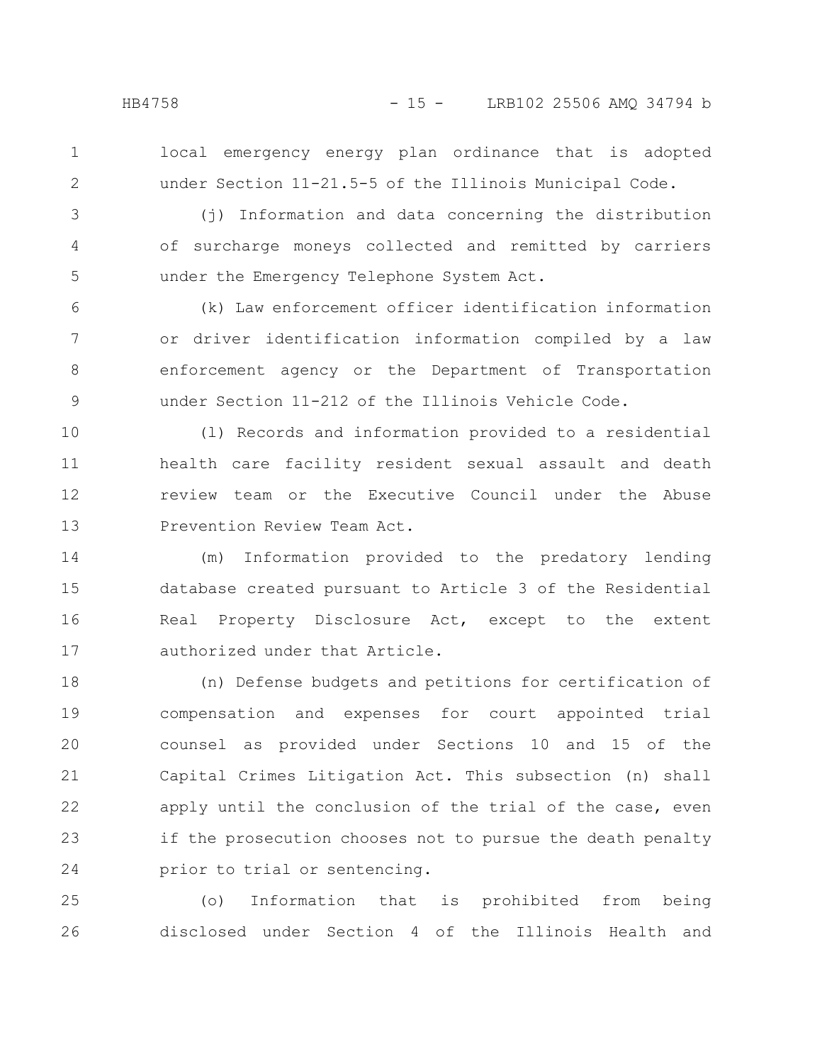- 
- 1 2

local emergency energy plan ordinance that is adopted under Section 11-21.5-5 of the Illinois Municipal Code.

3

4

5

(j) Information and data concerning the distribution of surcharge moneys collected and remitted by carriers under the Emergency Telephone System Act.

(k) Law enforcement officer identification information or driver identification information compiled by a law enforcement agency or the Department of Transportation under Section 11-212 of the Illinois Vehicle Code. 6 7 8 9

(l) Records and information provided to a residential health care facility resident sexual assault and death review team or the Executive Council under the Abuse Prevention Review Team Act. 10 11 12 13

(m) Information provided to the predatory lending database created pursuant to Article 3 of the Residential Real Property Disclosure Act, except to the extent authorized under that Article. 14 15 16 17

(n) Defense budgets and petitions for certification of compensation and expenses for court appointed trial counsel as provided under Sections 10 and 15 of the Capital Crimes Litigation Act. This subsection (n) shall apply until the conclusion of the trial of the case, even if the prosecution chooses not to pursue the death penalty prior to trial or sentencing. 18 19 20 21 22 23 24

(o) Information that is prohibited from being disclosed under Section 4 of the Illinois Health and 25 26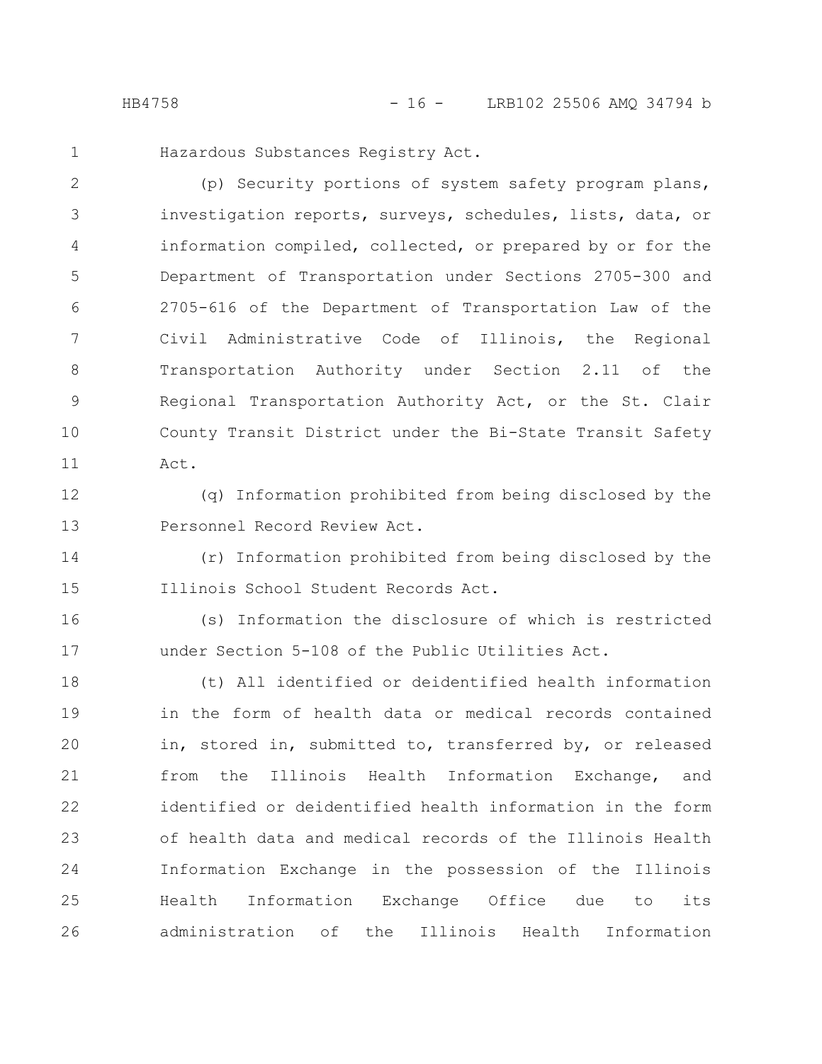Hazardous Substances Registry Act.

(p) Security portions of system safety program plans, investigation reports, surveys, schedules, lists, data, or information compiled, collected, or prepared by or for the Department of Transportation under Sections 2705-300 and 2705-616 of the Department of Transportation Law of the Civil Administrative Code of Illinois, the Regional Transportation Authority under Section 2.11 of the Regional Transportation Authority Act, or the St. Clair County Transit District under the Bi-State Transit Safety Act. 2 3 4 5 6 7 8 9 10 11

12

13

1

(q) Information prohibited from being disclosed by the Personnel Record Review Act.

(r) Information prohibited from being disclosed by the Illinois School Student Records Act. 14 15

(s) Information the disclosure of which is restricted under Section 5-108 of the Public Utilities Act. 16 17

(t) All identified or deidentified health information in the form of health data or medical records contained in, stored in, submitted to, transferred by, or released from the Illinois Health Information Exchange, and identified or deidentified health information in the form of health data and medical records of the Illinois Health Information Exchange in the possession of the Illinois Health Information Exchange Office due to its administration of the Illinois Health Information 18 19 20 21 22 23 24 25 26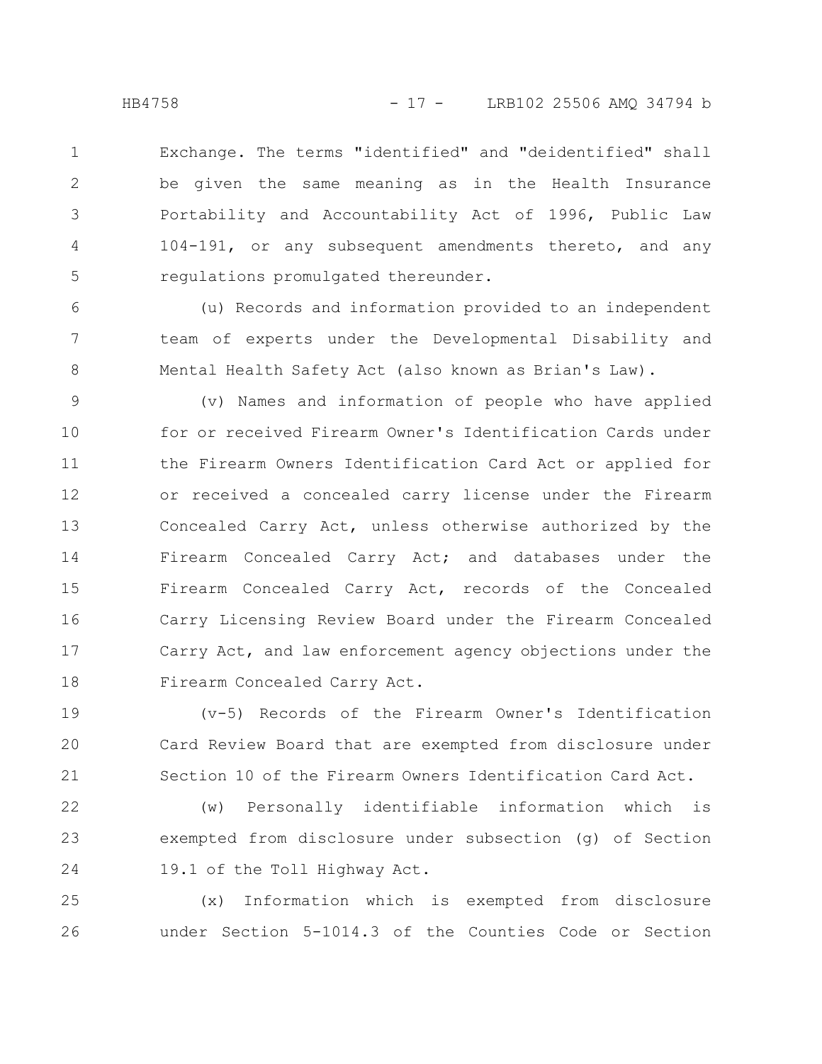Exchange. The terms "identified" and "deidentified" shall be given the same meaning as in the Health Insurance Portability and Accountability Act of 1996, Public Law 104-191, or any subsequent amendments thereto, and any regulations promulgated thereunder. 1 2 3 4 5

(u) Records and information provided to an independent team of experts under the Developmental Disability and Mental Health Safety Act (also known as Brian's Law). 6 7 8

(v) Names and information of people who have applied for or received Firearm Owner's Identification Cards under the Firearm Owners Identification Card Act or applied for or received a concealed carry license under the Firearm Concealed Carry Act, unless otherwise authorized by the Firearm Concealed Carry Act; and databases under the Firearm Concealed Carry Act, records of the Concealed Carry Licensing Review Board under the Firearm Concealed Carry Act, and law enforcement agency objections under the Firearm Concealed Carry Act. 9 10 11 12 13 14 15 16 17 18

(v-5) Records of the Firearm Owner's Identification Card Review Board that are exempted from disclosure under Section 10 of the Firearm Owners Identification Card Act. 19 20 21

(w) Personally identifiable information which is exempted from disclosure under subsection (g) of Section 19.1 of the Toll Highway Act. 22 23 24

(x) Information which is exempted from disclosure under Section 5-1014.3 of the Counties Code or Section 25 26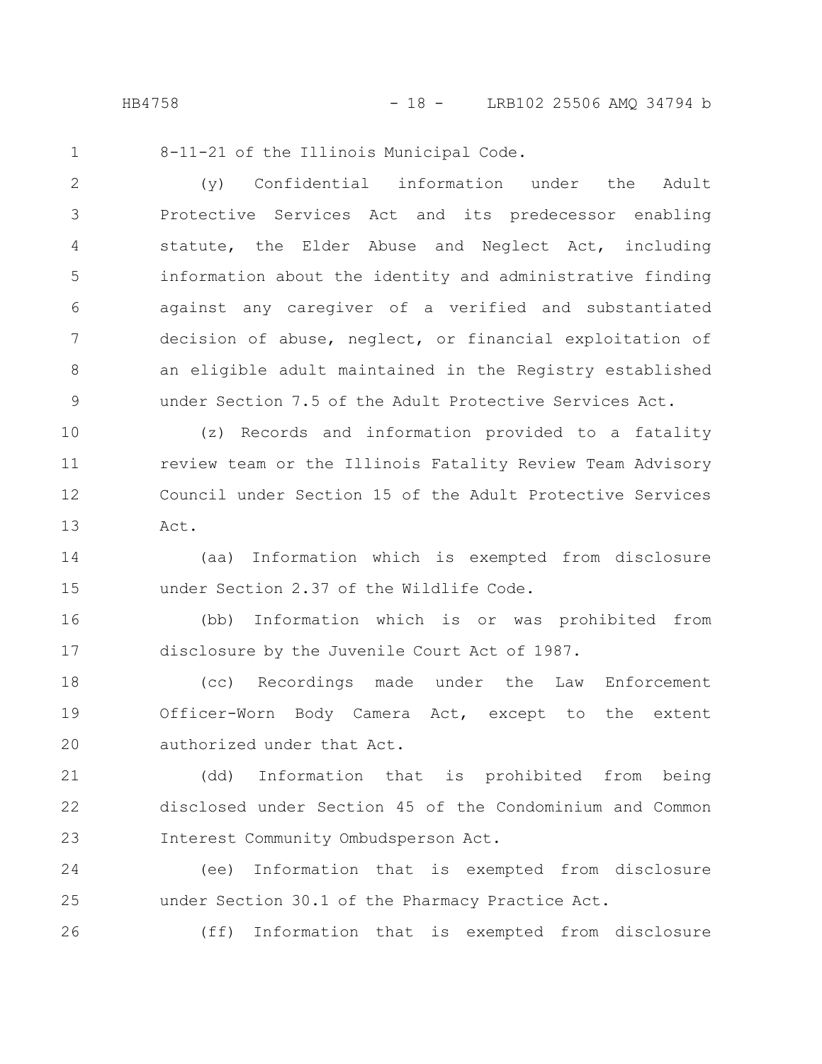8-11-21 of the Illinois Municipal Code. 1

(y) Confidential information under the Adult Protective Services Act and its predecessor enabling statute, the Elder Abuse and Neglect Act, including information about the identity and administrative finding against any caregiver of a verified and substantiated decision of abuse, neglect, or financial exploitation of an eligible adult maintained in the Registry established under Section 7.5 of the Adult Protective Services Act. 2 3 4 5 6 7 8 9

(z) Records and information provided to a fatality review team or the Illinois Fatality Review Team Advisory Council under Section 15 of the Adult Protective Services Act. 10 11 12 13

(aa) Information which is exempted from disclosure under Section 2.37 of the Wildlife Code. 14 15

(bb) Information which is or was prohibited from disclosure by the Juvenile Court Act of 1987. 16 17

(cc) Recordings made under the Law Enforcement Officer-Worn Body Camera Act, except to the extent authorized under that Act. 18 19 20

(dd) Information that is prohibited from being disclosed under Section 45 of the Condominium and Common Interest Community Ombudsperson Act. 21 22 23

(ee) Information that is exempted from disclosure under Section 30.1 of the Pharmacy Practice Act. 24 25

(ff) Information that is exempted from disclosure

26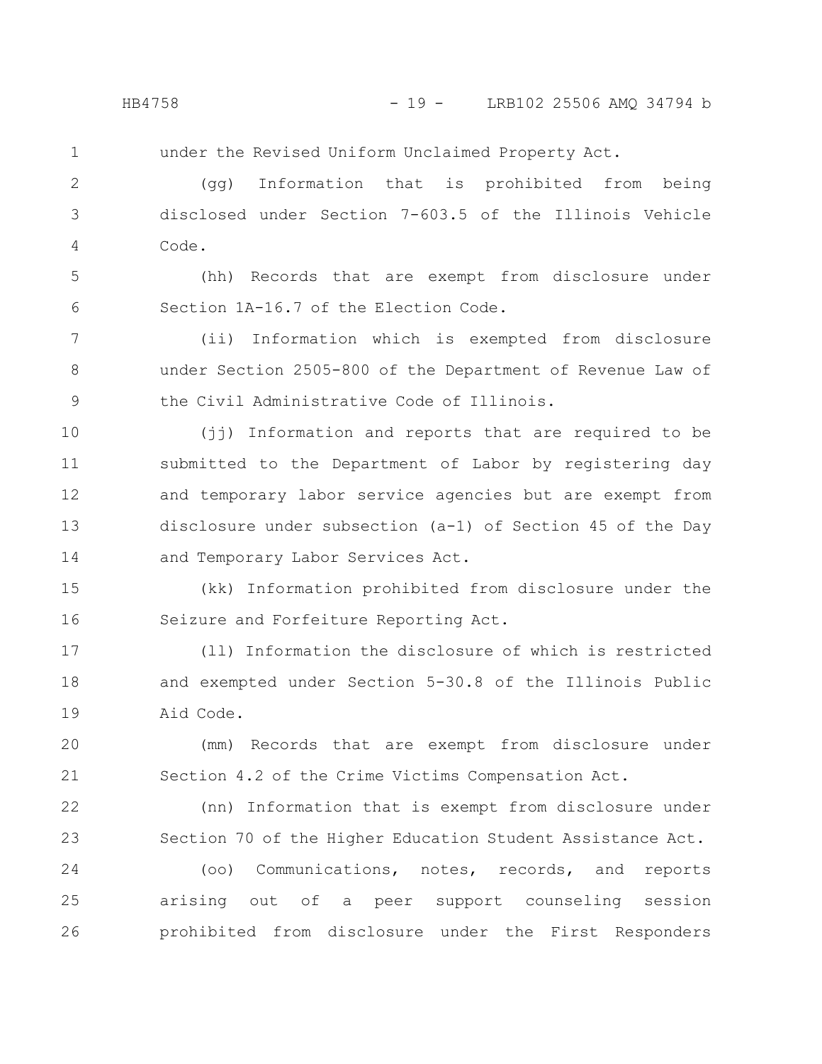- 
- 1

under the Revised Uniform Unclaimed Property Act.

(gg) Information that is prohibited from being disclosed under Section 7-603.5 of the Illinois Vehicle Code. 2 3 4

(hh) Records that are exempt from disclosure under Section 1A-16.7 of the Election Code. 5 6

(ii) Information which is exempted from disclosure under Section 2505-800 of the Department of Revenue Law of the Civil Administrative Code of Illinois. 7 8 9

(jj) Information and reports that are required to be submitted to the Department of Labor by registering day and temporary labor service agencies but are exempt from disclosure under subsection (a-1) of Section 45 of the Day and Temporary Labor Services Act. 10 11 12 13 14

(kk) Information prohibited from disclosure under the Seizure and Forfeiture Reporting Act. 15 16

(ll) Information the disclosure of which is restricted and exempted under Section 5-30.8 of the Illinois Public Aid Code. 17 18 19

(mm) Records that are exempt from disclosure under Section 4.2 of the Crime Victims Compensation Act. 20 21

(nn) Information that is exempt from disclosure under Section 70 of the Higher Education Student Assistance Act. 22 23

(oo) Communications, notes, records, and reports arising out of a peer support counseling session prohibited from disclosure under the First Responders 24 25 26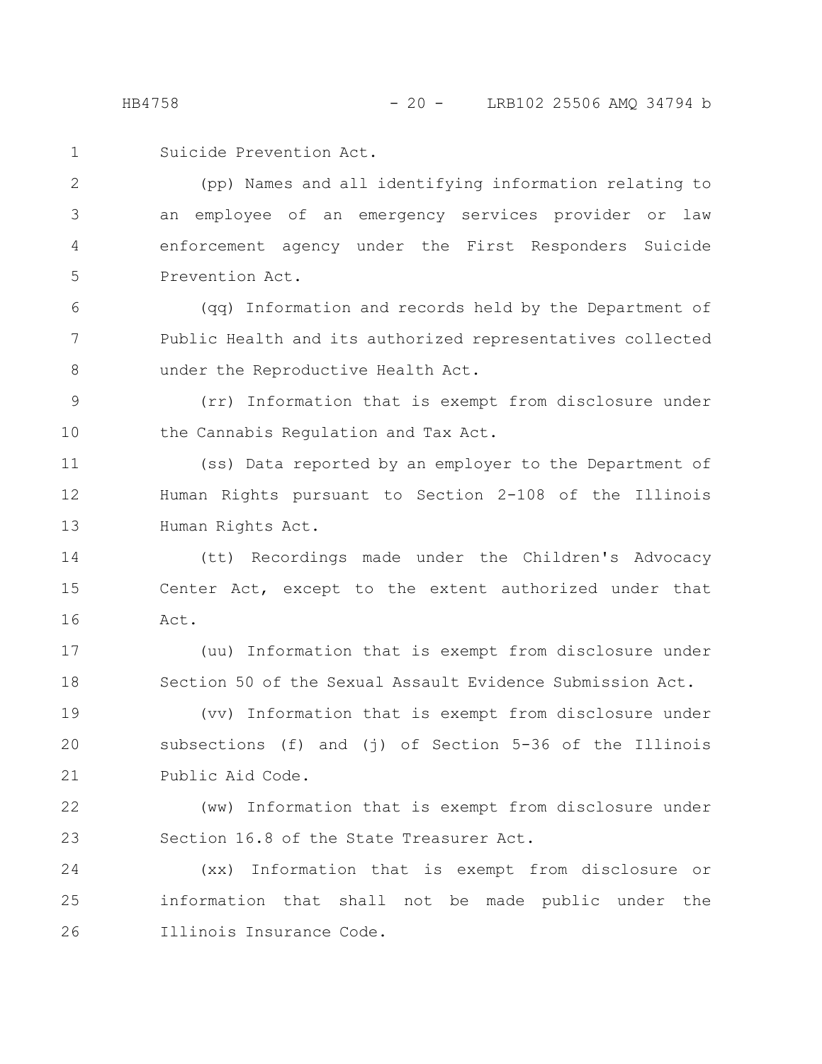Suicide Prevention Act. 1

(pp) Names and all identifying information relating to an employee of an emergency services provider or law enforcement agency under the First Responders Suicide Prevention Act. 2 3 4 5

(qq) Information and records held by the Department of Public Health and its authorized representatives collected under the Reproductive Health Act. 6 7 8

(rr) Information that is exempt from disclosure under the Cannabis Regulation and Tax Act. 9 10

(ss) Data reported by an employer to the Department of Human Rights pursuant to Section 2-108 of the Illinois Human Rights Act. 11 12 13

(tt) Recordings made under the Children's Advocacy Center Act, except to the extent authorized under that Act. 14 15 16

(uu) Information that is exempt from disclosure under Section 50 of the Sexual Assault Evidence Submission Act. 17 18

(vv) Information that is exempt from disclosure under subsections (f) and (j) of Section 5-36 of the Illinois Public Aid Code. 19 20 21

(ww) Information that is exempt from disclosure under Section 16.8 of the State Treasurer Act. 22 23

(xx) Information that is exempt from disclosure or information that shall not be made public under the Illinois Insurance Code. 24 25 26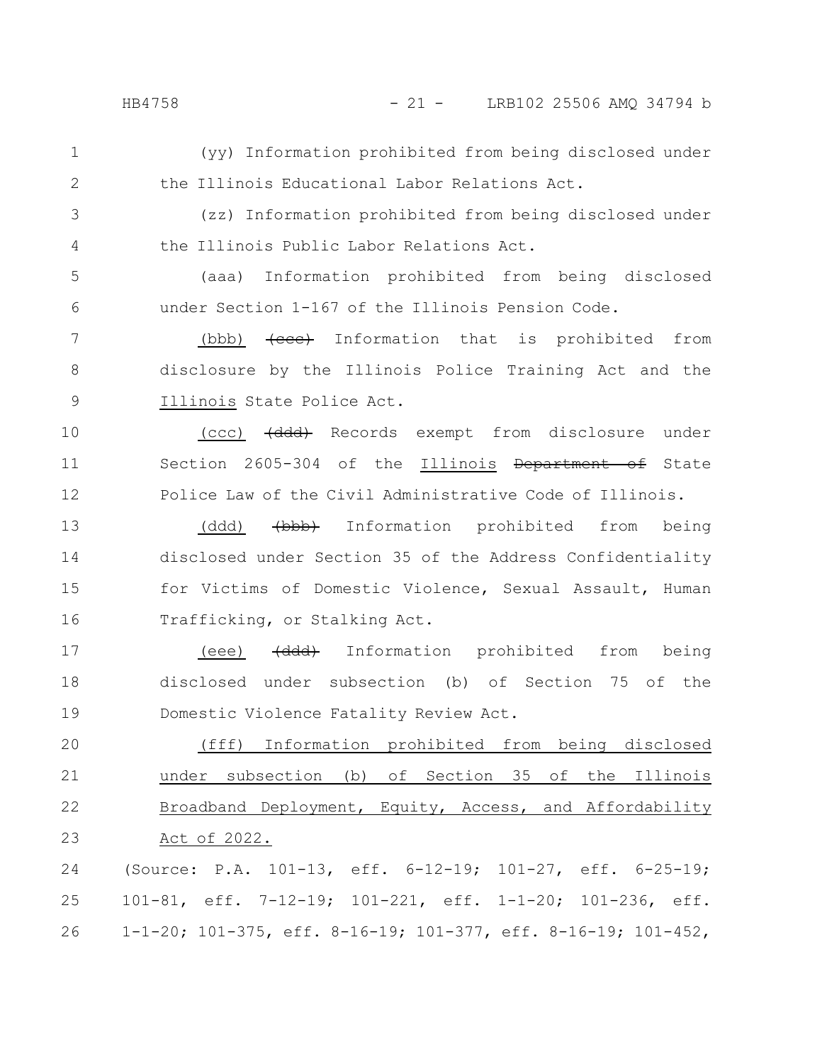- (yy) Information prohibited from being disclosed under the Illinois Educational Labor Relations Act. 1 2
- (zz) Information prohibited from being disclosed under the Illinois Public Labor Relations Act. 3 4
- (aaa) Information prohibited from being disclosed under Section 1-167 of the Illinois Pension Code. 5 6
- (bbb)  $\{eee\}$  Information that is prohibited from disclosure by the Illinois Police Training Act and the Illinois State Police Act. 7 8 9
- (ccc) (ddd) Records exempt from disclosure under Section 2605-304 of the Illinois Department of State Police Law of the Civil Administrative Code of Illinois. 10 11 12
- (ddd) <del>(bbb)</del> Information prohibited from being disclosed under Section 35 of the Address Confidentiality for Victims of Domestic Violence, Sexual Assault, Human Trafficking, or Stalking Act. 13 14 15 16
- (eee) (ddd) Information prohibited from being disclosed under subsection (b) of Section 75 of the Domestic Violence Fatality Review Act. 17 18 19
- (fff) Information prohibited from being disclosed under subsection (b) of Section 35 of the Illinois Broadband Deployment, Equity, Access, and Affordability Act of 2022. 20 21 22 23
- (Source: P.A. 101-13, eff. 6-12-19; 101-27, eff. 6-25-19; 101-81, eff. 7-12-19; 101-221, eff. 1-1-20; 101-236, eff. 1-1-20; 101-375, eff. 8-16-19; 101-377, eff. 8-16-19; 101-452, 24 25 26